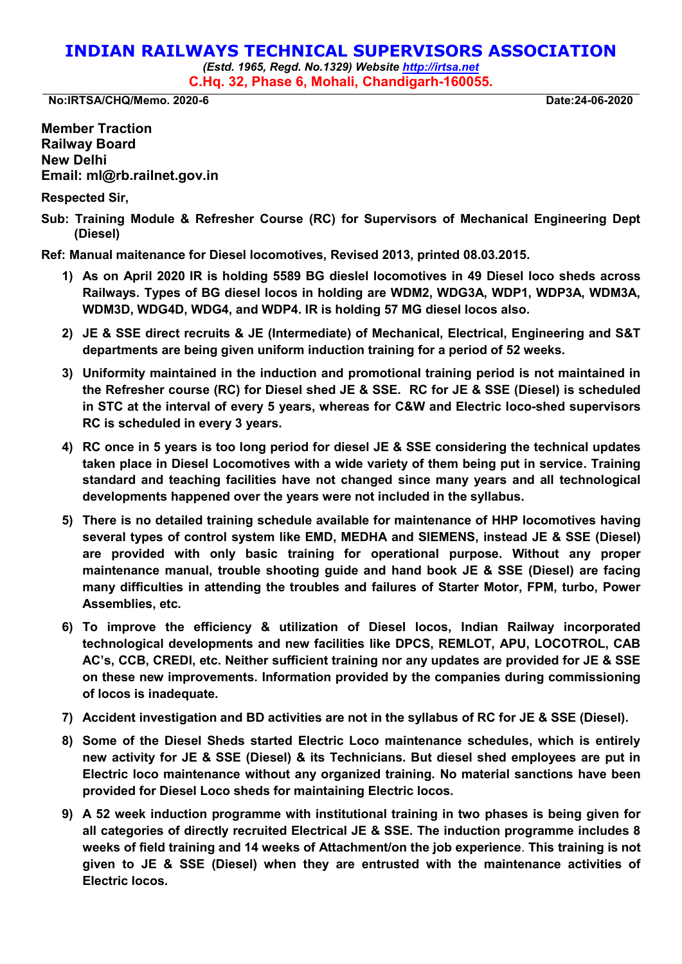## **INDIAN RAILWAYS TECHNICAL SUPERVISORS ASSOCIATION**

*(Estd. 1965, Regd. No.1329) Website [http://irtsa.net](http://irtsa.net/)*  **C.Hq. 32, Phase 6, Mohali, Chandigarh-160055.** 

**No:IRTSA/CHQ/Memo. 2020-6 Date:24-06-2020** 

**Member Traction Railway Board New Delhi Email: ml@rb.railnet.gov.in**

**Respected Sir,** 

**Sub: Training Module & Refresher Course (RC) for Supervisors of Mechanical Engineering Dept (Diesel)** 

**Ref: Manual maitenance for Diesel locomotives, Revised 2013, printed 08.03.2015.** 

- **1) As on April 2020 IR is holding 5589 BG dieslel locomotives in 49 Diesel loco sheds across Railways. Types of BG diesel locos in holding are WDM2, WDG3A, WDP1, WDP3A, WDM3A, WDM3D, WDG4D, WDG4, and WDP4. IR is holding 57 MG diesel locos also.**
- **2) JE & SSE direct recruits & JE (Intermediate) of Mechanical, Electrical, Engineering and S&T departments are being given uniform induction training for a period of 52 weeks.**
- **3) Uniformity maintained in the induction and promotional training period is not maintained in the Refresher course (RC) for Diesel shed JE & SSE. RC for JE & SSE (Diesel) is scheduled in STC at the interval of every 5 years, whereas for C&W and Electric loco-shed supervisors RC is scheduled in every 3 years.**
- **4) RC once in 5 years is too long period for diesel JE & SSE considering the technical updates taken place in Diesel Locomotives with a wide variety of them being put in service. Training standard and teaching facilities have not changed since many years and all technological developments happened over the years were not included in the syllabus.**
- **5) There is no detailed training schedule available for maintenance of HHP locomotives having several types of control system like EMD, MEDHA and SIEMENS, instead JE & SSE (Diesel) are provided with only basic training for operational purpose. Without any proper maintenance manual, trouble shooting guide and hand book JE & SSE (Diesel) are facing many difficulties in attending the troubles and failures of Starter Motor, FPM, turbo, Power Assemblies, etc.**
- **6) To improve the efficiency & utilization of Diesel locos, Indian Railway incorporated technological developments and new facilities like DPCS, REMLOT, APU, LOCOTROL, CAB AC's, CCB, CREDI, etc. Neither sufficient training nor any updates are provided for JE & SSE on these new improvements. Information provided by the companies during commissioning of locos is inadequate.**
- **7) Accident investigation and BD activities are not in the syllabus of RC for JE & SSE (Diesel).**
- **8) Some of the Diesel Sheds started Electric Loco maintenance schedules, which is entirely new activity for JE & SSE (Diesel) & its Technicians. But diesel shed employees are put in Electric loco maintenance without any organized training. No material sanctions have been provided for Diesel Loco sheds for maintaining Electric locos.**
- **9) A 52 week induction programme with institutional training in two phases is being given for all categories of directly recruited Electrical JE & SSE. The induction programme includes 8 weeks of field training and 14 weeks of Attachment/on the job experience**. **This training is not given to JE & SSE (Diesel) when they are entrusted with the maintenance activities of Electric locos.**